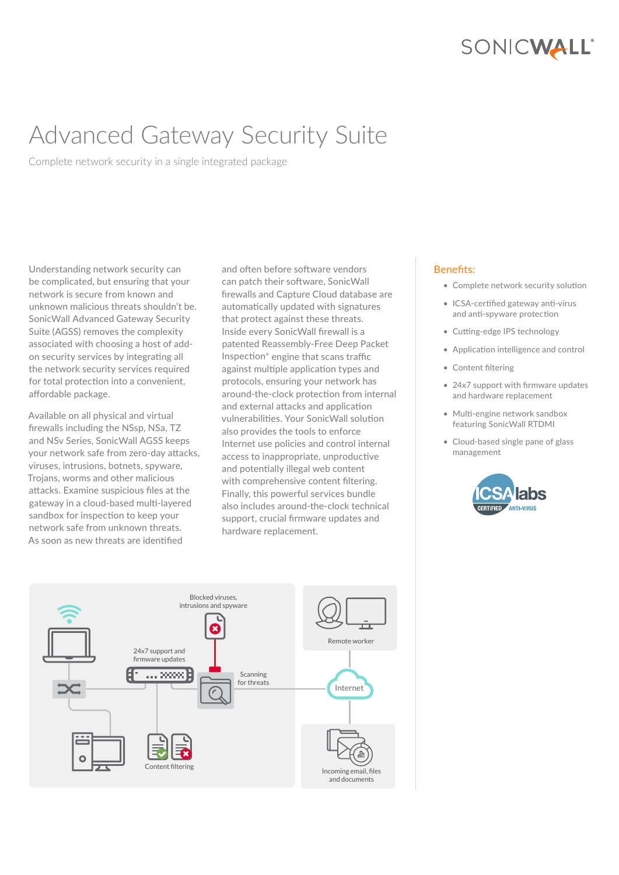

# Advanced Gateway Security Suite

Complete network security in a single integrated package

Understanding network security can be complicated, but ensuring that your network is secure from known and unknown malicious threats shouldn't be. SonicWall Advanced Gateway Security Suite (AGSS) removes the complexity associated with choosing a host of addon security services by integrating all the network security services required for total protection into a convenient, affordable package.

Available on all physical and virtual firewalls including the NSsp, NSa, TZ and NSv Series, SonicWall AGSS keeps your network safe from zero-day attacks, viruses, intrusions, botnets, spyware, Trojans, worms and other malicious attacks. Examine suspicious files at the gateway in a cloud-based multi-layered sandbox for inspection to keep your network safe from unknown threats. As soon as new threats are identified

and often before software vendors can patch their software, SonicWall firewalls and Capture Cloud database are automatically updated with signatures that protect against these threats. Inside every SonicWall firewall is a patented Reassembly-Free Deep Packet Inspection® engine that scans traffic against multiple application types and protocols, ensuring your network has around-the-clock protection from internal and external attacks and application vulnerabilities. Your SonicWall solution also provides the tools to enforce Internet use policies and control internal access to inappropriate, unproductive and potentially illegal web content with comprehensive content filtering. Finally, this powerful services bundle also includes around-the-clock technical support, crucial firmware updates and hardware replacement.

#### Benefits:

- Complete network security solution
- ICSA-certified gateway anti-virus and anti-spyware protection
- Cutting-edge IPS technology
- Application intelligence and control
- Content filtering
- 24x7 support with firmware updates and hardware replacement
- Multi-engine network sandbox featuring SonicWall RTDMI
- Cloud-based single pane of glass management



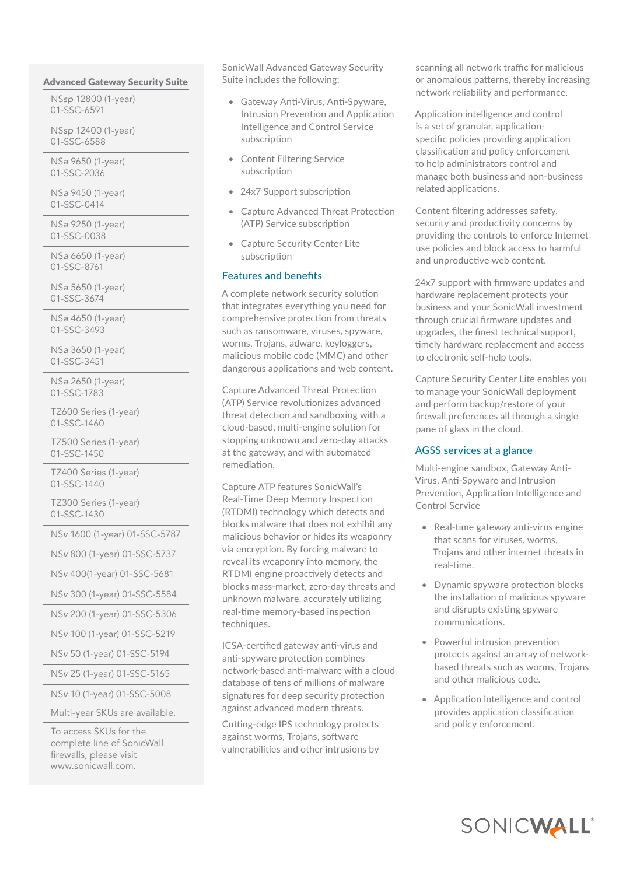### Advanced Gateway Security Suite

NS*sp* 12800 (1-year) 01-SSC-6591

NS*sp* 12400 (1-year) 01-SSC-6588

NS*a* 9650 (1-year) 01-SSC-2036

NS*a* 9450 (1-year) 01-SSC-0414

NS*a* 9250 (1-year) 01-SSC-0038

NS*a* 6650 (1-year) 01-SSC-8761

NS*a* 5650 (1-year) 01-SSC-3674

NS*a* 4650 (1-year) 01-SSC-3493

NS*a* 3650 (1-year) 01-SSC-3451

NS*a* 2650 (1-year) 01-SSC-1783

TZ600 Series (1-year) 01-SSC-1460

TZ500 Series (1-year) 01-SSC-1450

TZ400 Series (1-year) 01-SSC-1440

TZ300 Series (1-year) 01-SSC-1430

NS*v* 1600 (1-year) 01-SSC-5787

NS*v* 800 (1-year) 01-SSC-5737

NS*v* 400(1-year) 01-SSC-5681

NS*v* 300 (1-year) 01-SSC-5584

NS*v* 200 (1-year) 01-SSC-5306

NS*v* 100 (1-year) 01-SSC-5219

NS*v* 50 (1-year) 01-SSC-5194

NS*v* 25 (1-year) 01-SSC-5165

NS*v* 10 (1-year) 01-SSC-5008

Multi-year SKUs are available.

To access SKUs for the complete line of SonicWall firewalls, please visit <www.sonicwall.com>.

SonicWall Advanced Gateway Security Suite includes the following:

- Gateway Anti-Virus, Anti-Spyware, Intrusion Prevention and Application Intelligence and Control Service subscription
- Content Filtering Service subscription
- 24x7 Support subscription
- Capture Advanced Threat Protection (ATP) Service subscription
- Capture Security Center Lite subscription

# Features and benefits

A complete network security solution that integrates everything you need for comprehensive protection from threats such as ransomware, viruses, spyware, worms, Trojans, adware, keyloggers, malicious mobile code (MMC) and other dangerous applications and web content.

Capture Advanced Threat Protection (ATP) Service revolutionizes advanced threat detection and sandboxing with a cloud-based, multi-engine solution for stopping unknown and zero-day attacks at the gateway, and with automated remediation.

Capture ATP features SonicWall's Real-Time Deep Memory Inspection (RTDMI) technology which detects and blocks malware that does not exhibit any malicious behavior or hides its weaponry via encryption. By forcing malware to reveal its weaponry into memory, the RTDMI engine proactively detects and blocks mass-market, zero-day threats and unknown malware, accurately utilizing real-time memory-based inspection techniques.

ICSA-certified gateway anti-virus and anti-spyware protection combines network-based anti-malware with a cloud database of tens of millions of malware signatures for deep security protection against advanced modern threats.

Cutting-edge IPS technology protects against worms, Trojans, software vulnerabilities and other intrusions by

scanning all network traffic for malicious or anomalous patterns, thereby increasing network reliability and performance.

Application intelligence and control is a set of granular, applicationspecific policies providing application classification and policy enforcement to help administrators control and manage both business and non-business related applications.

Content filtering addresses safety, security and productivity concerns by providing the controls to enforce Internet use policies and block access to harmful and unproductive web content.

24x7 support with firmware updates and hardware replacement protects your business and your SonicWall investment through crucial firmware updates and upgrades, the finest technical support, timely hardware replacement and access to electronic self-help tools.

Capture Security Center Lite enables you to manage your SonicWall deployment and perform backup/restore of your firewall preferences all through a single pane of glass in the cloud.

## AGSS services at a glance

Multi-engine sandbox, Gateway Anti-Virus, Anti-Spyware and Intrusion Prevention, Application Intelligence and Control Service

- Real-time gateway anti-virus engine that scans for viruses, worms, Trojans and other internet threats in real-time.
- Dynamic spyware protection blocks the installation of malicious spyware and disrupts existing spyware communications.
- Powerful intrusion prevention protects against an array of networkbased threats such as worms, Trojans and other malicious code.
- Application intelligence and control provides application classification and policy enforcement.